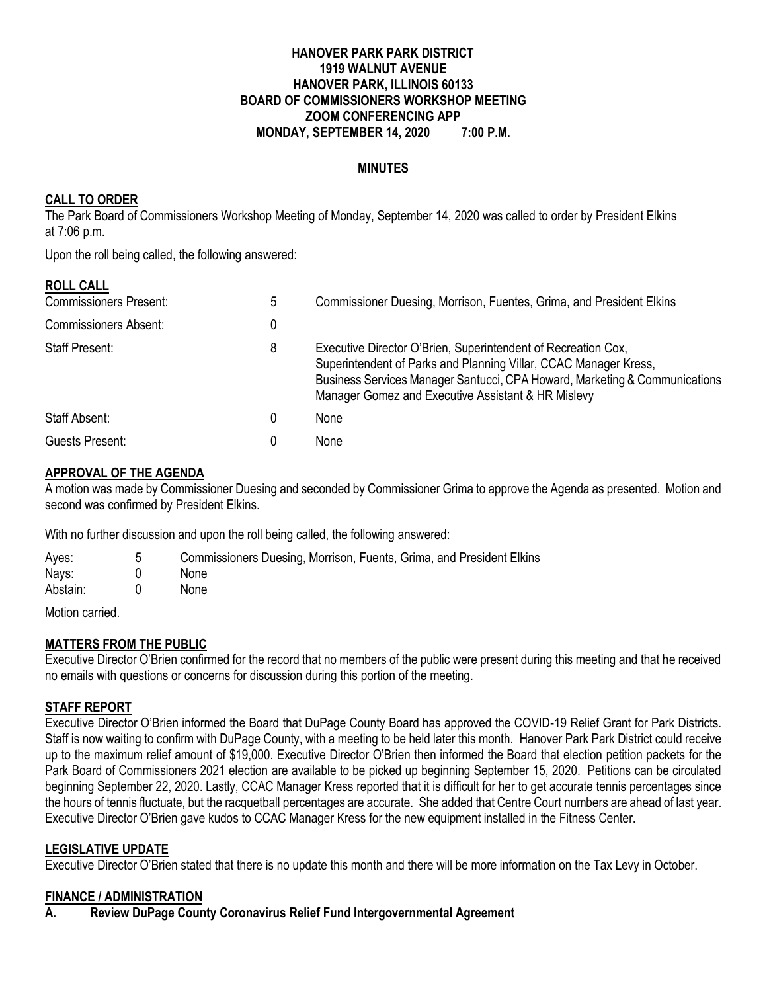#### **HANOVER PARK PARK DISTRICT 1919 WALNUT AVENUE HANOVER PARK, ILLINOIS 60133 BOARD OF COMMISSIONERS WORKSHOP MEETING ZOOM CONFERENCING APP MONDAY, SEPTEMBER 14, 2020 7:00 P.M.**

#### **MINUTES**

### **CALL TO ORDER**

The Park Board of Commissioners Workshop Meeting of Monday, September 14, 2020 was called to order by President Elkins at 7:06 p.m.

Upon the roll being called, the following answered:

| <b>ROLL CALL</b>              |   |                                                                                                                                                                                                                                                                       |
|-------------------------------|---|-----------------------------------------------------------------------------------------------------------------------------------------------------------------------------------------------------------------------------------------------------------------------|
| <b>Commissioners Present:</b> | ხ | Commissioner Duesing, Morrison, Fuentes, Grima, and President Elkins                                                                                                                                                                                                  |
| <b>Commissioners Absent:</b>  | 0 |                                                                                                                                                                                                                                                                       |
| <b>Staff Present:</b>         | 8 | Executive Director O'Brien, Superintendent of Recreation Cox,<br>Superintendent of Parks and Planning Villar, CCAC Manager Kress,<br>Business Services Manager Santucci, CPA Howard, Marketing & Communications<br>Manager Gomez and Executive Assistant & HR Mislevy |
| Staff Absent:                 | 0 | None                                                                                                                                                                                                                                                                  |
| Guests Present:               |   | None                                                                                                                                                                                                                                                                  |

#### **APPROVAL OF THE AGENDA**

A motion was made by Commissioner Duesing and seconded by Commissioner Grima to approve the Agenda as presented. Motion and second was confirmed by President Elkins.

With no further discussion and upon the roll being called, the following answered:

| Ayes:    | . 5 | Commissioners Duesing, Morrison, Fuents, Grima, and President Elkins |
|----------|-----|----------------------------------------------------------------------|
| Nays:    |     | <b>None</b>                                                          |
| Abstain: |     | <b>None</b>                                                          |
| .        |     |                                                                      |

Motion carried.

#### **MATTERS FROM THE PUBLIC**

Executive Director O'Brien confirmed for the record that no members of the public were present during this meeting and that he received no emails with questions or concerns for discussion during this portion of the meeting.

### **STAFF REPORT**

Executive Director O'Brien informed the Board that DuPage County Board has approved the COVID-19 Relief Grant for Park Districts. Staff is now waiting to confirm with DuPage County, with a meeting to be held later this month. Hanover Park Park District could receive up to the maximum relief amount of \$19,000. Executive Director O'Brien then informed the Board that election petition packets for the Park Board of Commissioners 2021 election are available to be picked up beginning September 15, 2020. Petitions can be circulated beginning September 22, 2020. Lastly, CCAC Manager Kress reported that it is difficult for her to get accurate tennis percentages since the hours of tennis fluctuate, but the racquetball percentages are accurate. She added that Centre Court numbers are ahead of last year. Executive Director O'Brien gave kudos to CCAC Manager Kress for the new equipment installed in the Fitness Center.

#### **LEGISLATIVE UPDATE**

Executive Director O'Brien stated that there is no update this month and there will be more information on the Tax Levy in October.

#### **FINANCE / ADMINISTRATION**

**A. Review DuPage County Coronavirus Relief Fund Intergovernmental Agreement**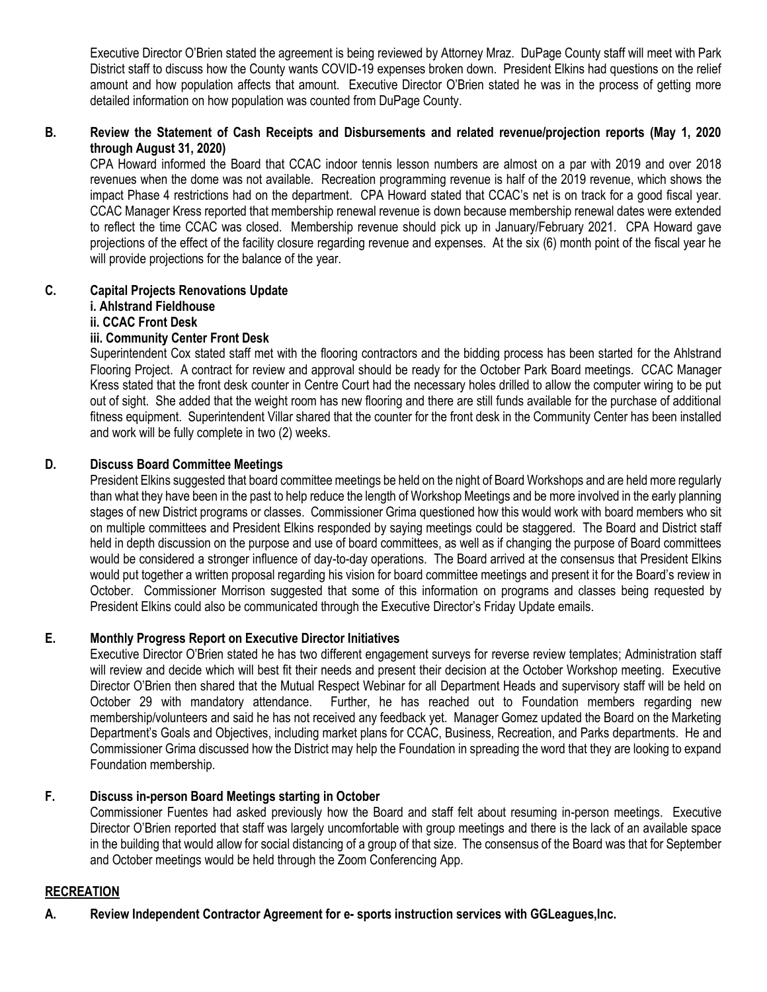Executive Director O'Brien stated the agreement is being reviewed by Attorney Mraz. DuPage County staff will meet with Park District staff to discuss how the County wants COVID-19 expenses broken down. President Elkins had questions on the relief amount and how population affects that amount. Executive Director O'Brien stated he was in the process of getting more detailed information on how population was counted from DuPage County.

### **B. Review the Statement of Cash Receipts and Disbursements and related revenue/projection reports (May 1, 2020 through August 31, 2020)**

CPA Howard informed the Board that CCAC indoor tennis lesson numbers are almost on a par with 2019 and over 2018 revenues when the dome was not available. Recreation programming revenue is half of the 2019 revenue, which shows the impact Phase 4 restrictions had on the department. CPA Howard stated that CCAC's net is on track for a good fiscal year. CCAC Manager Kress reported that membership renewal revenue is down because membership renewal dates were extended to reflect the time CCAC was closed. Membership revenue should pick up in January/February 2021. CPA Howard gave projections of the effect of the facility closure regarding revenue and expenses. At the six (6) month point of the fiscal year he will provide projections for the balance of the year.

# **C. Capital Projects Renovations Update**

# **i. Ahlstrand Fieldhouse**

# **ii. CCAC Front Desk**

# **iii. Community Center Front Desk**

Superintendent Cox stated staff met with the flooring contractors and the bidding process has been started for the Ahlstrand Flooring Project. A contract for review and approval should be ready for the October Park Board meetings. CCAC Manager Kress stated that the front desk counter in Centre Court had the necessary holes drilled to allow the computer wiring to be put out of sight. She added that the weight room has new flooring and there are still funds available for the purchase of additional fitness equipment. Superintendent Villar shared that the counter for the front desk in the Community Center has been installed and work will be fully complete in two (2) weeks.

# **D. Discuss Board Committee Meetings**

President Elkins suggested that board committee meetings be held on the night of Board Workshops and are held more regularly than what they have been in the past to help reduce the length of Workshop Meetings and be more involved in the early planning stages of new District programs or classes. Commissioner Grima questioned how this would work with board members who sit on multiple committees and President Elkins responded by saying meetings could be staggered. The Board and District staff held in depth discussion on the purpose and use of board committees, as well as if changing the purpose of Board committees would be considered a stronger influence of day-to-day operations. The Board arrived at the consensus that President Elkins would put together a written proposal regarding his vision for board committee meetings and present it for the Board's review in October. Commissioner Morrison suggested that some of this information on programs and classes being requested by President Elkins could also be communicated through the Executive Director's Friday Update emails.

### **E. Monthly Progress Report on Executive Director Initiatives**

Executive Director O'Brien stated he has two different engagement surveys for reverse review templates; Administration staff will review and decide which will best fit their needs and present their decision at the October Workshop meeting. Executive Director O'Brien then shared that the Mutual Respect Webinar for all Department Heads and supervisory staff will be held on October 29 with mandatory attendance. Further, he has reached out to Foundation members regarding new membership/volunteers and said he has not received any feedback yet. Manager Gomez updated the Board on the Marketing Department's Goals and Objectives, including market plans for CCAC, Business, Recreation, and Parks departments. He and Commissioner Grima discussed how the District may help the Foundation in spreading the word that they are looking to expand Foundation membership.

# **F. Discuss in-person Board Meetings starting in October**

Commissioner Fuentes had asked previously how the Board and staff felt about resuming in-person meetings. Executive Director O'Brien reported that staff was largely uncomfortable with group meetings and there is the lack of an available space in the building that would allow for social distancing of a group of that size. The consensus of the Board was that for September and October meetings would be held through the Zoom Conferencing App.

### **RECREATION**

**A. Review Independent Contractor Agreement for e- sports instruction services with GGLeagues,Inc.**